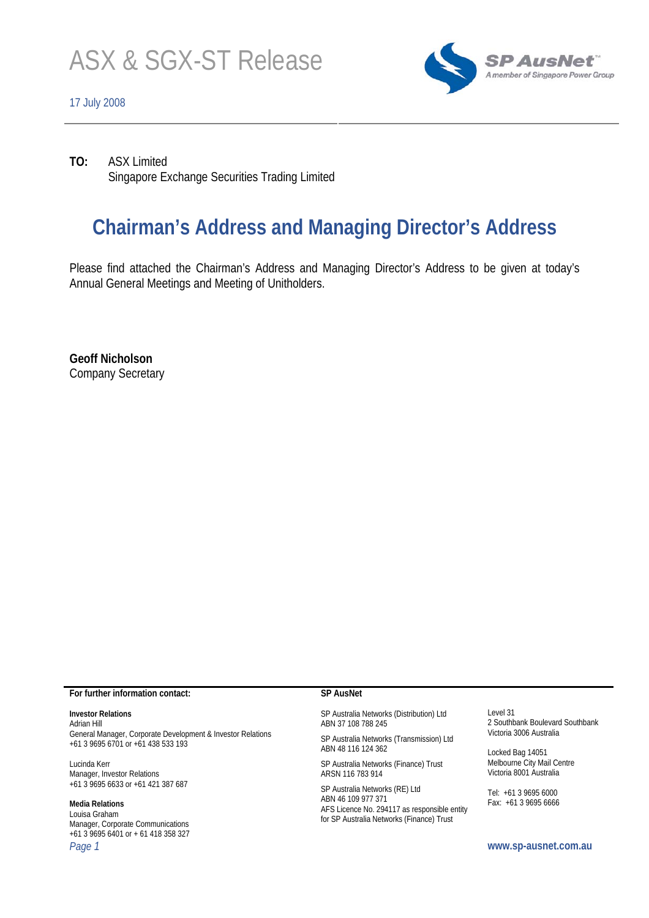

### 17 July 2008



**TO:** ASX Limited Singapore Exchange Securities Trading Limited

# **Chairman's Address and Managing Director's Address**

Please find attached the Chairman's Address and Managing Director's Address to be given at today's Annual General Meetings and Meeting of Unitholders.

**Geoff Nicholson**  Company Secretary

#### **For further information contact:**

#### **Investor Relations**

Adrian Hill General Manager, Corporate Development & Investor Relations +61 3 9695 6701 or +61 438 533 193

Lucinda Kerr Manager, Investor Relations +61 3 9695 6633 or +61 421 387 687

#### **Media Relations**  Louisa Graham

Manager, Corporate Communications +61 3 9695 6401 or + 61 418 358 327 *Page 1* **www.sp-ausnet.com.au** 

#### **SP AusNet**

SP Australia Networks (Distribution) Ltd ABN 37 108 788 245

SP Australia Networks (Transmission) Ltd ABN 48 116 124 362

SP Australia Networks (Finance) Trust ARSN 116 783 914

SP Australia Networks (RE) Ltd ABN 46 109 977 371 AFS Licence No. 294117 as responsible entity for SP Australia Networks (Finance) Trust

Level 31 2 Southbank Boulevard Southbank Victoria 3006 Australia

Locked Bag 14051 Melbourne City Mail Centre Victoria 8001 Australia

Tel: +61 3 9695 6000 Fax: +61 3 9695 6666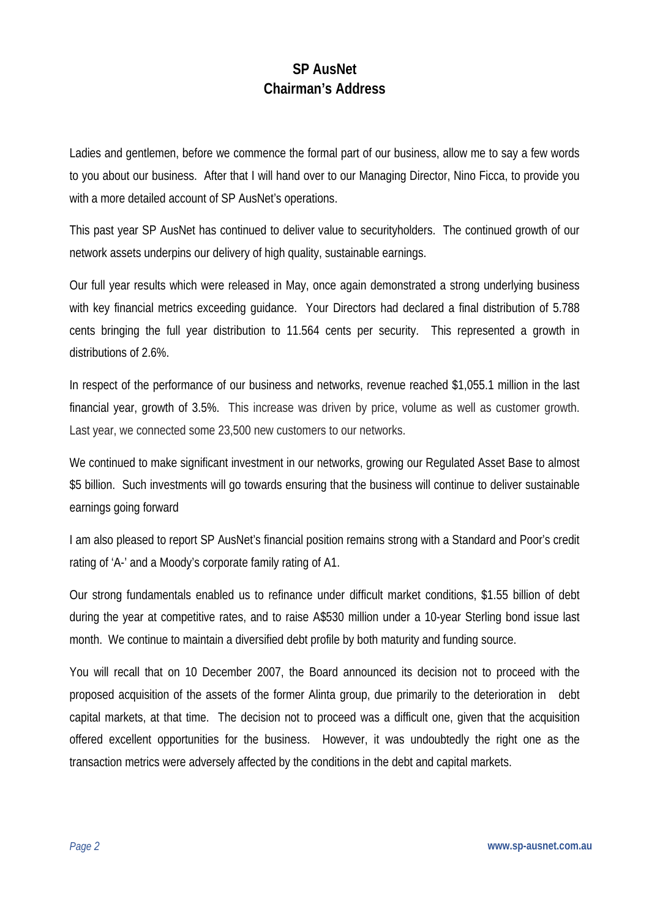## **SP AusNet Chairman's Address**

Ladies and gentlemen, before we commence the formal part of our business, allow me to say a few words to you about our business. After that I will hand over to our Managing Director, Nino Ficca, to provide you with a more detailed account of SP AusNet's operations.

This past year SP AusNet has continued to deliver value to securityholders. The continued growth of our network assets underpins our delivery of high quality, sustainable earnings.

Our full year results which were released in May, once again demonstrated a strong underlying business with key financial metrics exceeding guidance. Your Directors had declared a final distribution of 5.788 cents bringing the full year distribution to 11.564 cents per security. This represented a growth in distributions of 2.6%.

In respect of the performance of our business and networks, revenue reached \$1,055.1 million in the last financial year, growth of 3.5%. This increase was driven by price, volume as well as customer growth. Last year, we connected some 23,500 new customers to our networks.

We continued to make significant investment in our networks, growing our Regulated Asset Base to almost \$5 billion. Such investments will go towards ensuring that the business will continue to deliver sustainable earnings going forward

I am also pleased to report SP AusNet's financial position remains strong with a Standard and Poor's credit rating of 'A-' and a Moody's corporate family rating of A1.

Our strong fundamentals enabled us to refinance under difficult market conditions, \$1.55 billion of debt during the year at competitive rates, and to raise A\$530 million under a 10-year Sterling bond issue last month. We continue to maintain a diversified debt profile by both maturity and funding source.

You will recall that on 10 December 2007, the Board announced its decision not to proceed with the proposed acquisition of the assets of the former Alinta group, due primarily to the deterioration in debt capital markets, at that time. The decision not to proceed was a difficult one, given that the acquisition offered excellent opportunities for the business. However, it was undoubtedly the right one as the transaction metrics were adversely affected by the conditions in the debt and capital markets.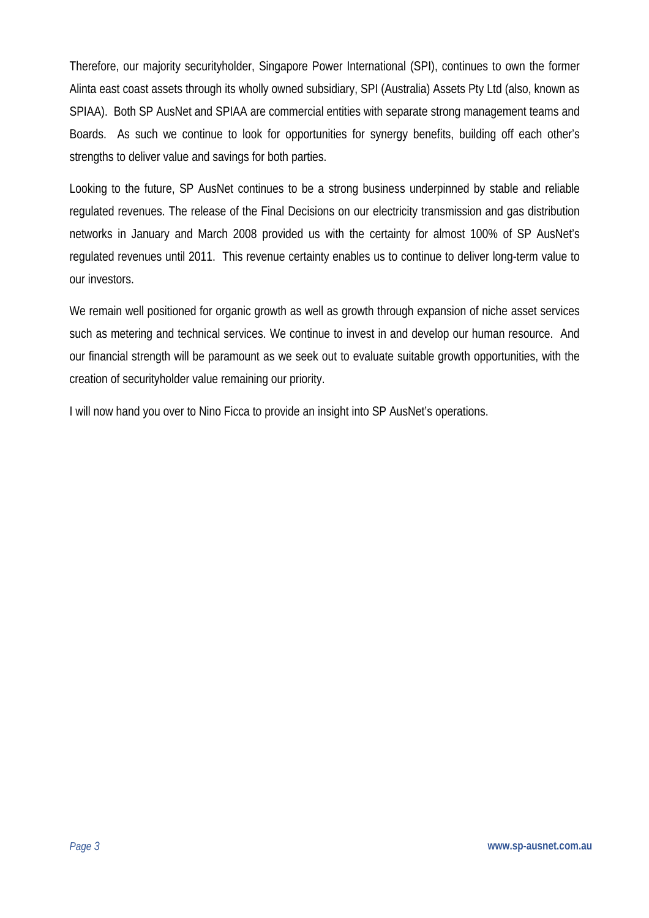Therefore, our majority securityholder, Singapore Power International (SPI), continues to own the former Alinta east coast assets through its wholly owned subsidiary, SPI (Australia) Assets Pty Ltd (also, known as SPIAA). Both SP AusNet and SPIAA are commercial entities with separate strong management teams and Boards. As such we continue to look for opportunities for synergy benefits, building off each other's strengths to deliver value and savings for both parties.

Looking to the future, SP AusNet continues to be a strong business underpinned by stable and reliable regulated revenues. The release of the Final Decisions on our electricity transmission and gas distribution networks in January and March 2008 provided us with the certainty for almost 100% of SP AusNet's regulated revenues until 2011. This revenue certainty enables us to continue to deliver long-term value to our investors.

We remain well positioned for organic growth as well as growth through expansion of niche asset services such as metering and technical services. We continue to invest in and develop our human resource. And our financial strength will be paramount as we seek out to evaluate suitable growth opportunities, with the creation of securityholder value remaining our priority.

I will now hand you over to Nino Ficca to provide an insight into SP AusNet's operations.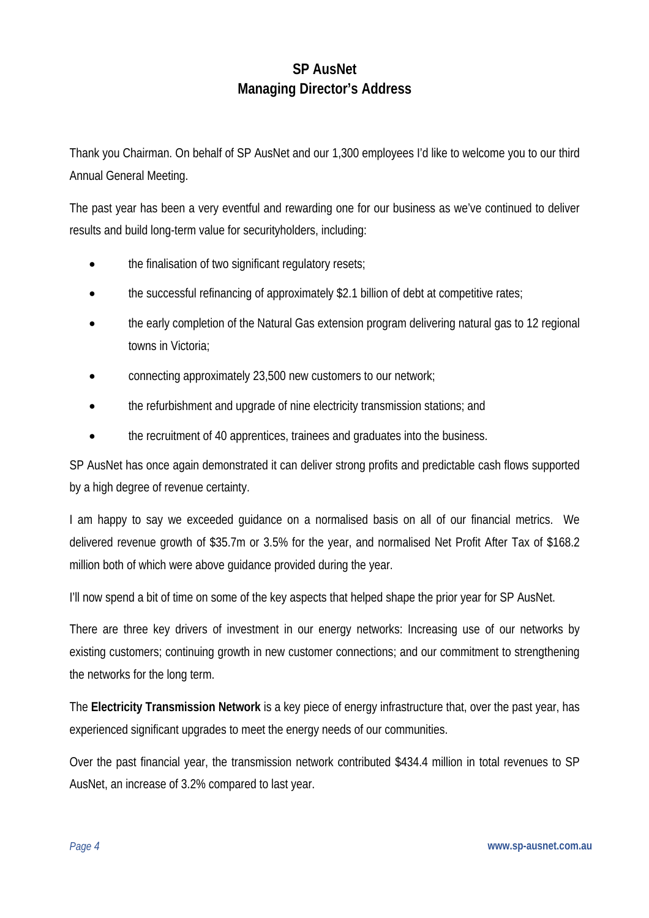## **SP AusNet Managing Director's Address**

Thank you Chairman. On behalf of SP AusNet and our 1,300 employees I'd like to welcome you to our third Annual General Meeting.

The past year has been a very eventful and rewarding one for our business as we've continued to deliver results and build long-term value for securityholders, including:

- the finalisation of two significant regulatory resets;
- the successful refinancing of approximately \$2.1 billion of debt at competitive rates;
- the early completion of the Natural Gas extension program delivering natural gas to 12 regional towns in Victoria;
- connecting approximately 23,500 new customers to our network:
- the refurbishment and upgrade of nine electricity transmission stations; and
- the recruitment of 40 apprentices, trainees and graduates into the business.

SP AusNet has once again demonstrated it can deliver strong profits and predictable cash flows supported by a high degree of revenue certainty.

I am happy to say we exceeded guidance on a normalised basis on all of our financial metrics. We delivered revenue growth of \$35.7m or 3.5% for the year, and normalised Net Profit After Tax of \$168.2 million both of which were above guidance provided during the year.

I'll now spend a bit of time on some of the key aspects that helped shape the prior year for SP AusNet.

There are three key drivers of investment in our energy networks: Increasing use of our networks by existing customers; continuing growth in new customer connections; and our commitment to strengthening the networks for the long term.

The **Electricity Transmission Network** is a key piece of energy infrastructure that, over the past year, has experienced significant upgrades to meet the energy needs of our communities.

Over the past financial year, the transmission network contributed \$434.4 million in total revenues to SP AusNet, an increase of 3.2% compared to last year.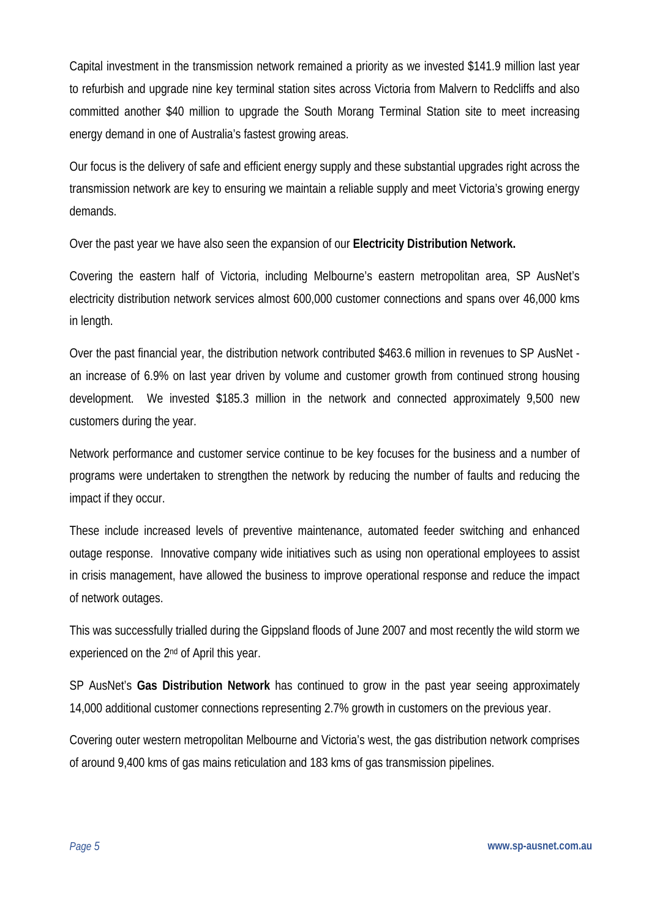Capital investment in the transmission network remained a priority as we invested \$141.9 million last year to refurbish and upgrade nine key terminal station sites across Victoria from Malvern to Redcliffs and also committed another \$40 million to upgrade the South Morang Terminal Station site to meet increasing energy demand in one of Australia's fastest growing areas.

Our focus is the delivery of safe and efficient energy supply and these substantial upgrades right across the transmission network are key to ensuring we maintain a reliable supply and meet Victoria's growing energy demands.

Over the past year we have also seen the expansion of our **Electricity Distribution Network.** 

Covering the eastern half of Victoria, including Melbourne's eastern metropolitan area, SP AusNet's electricity distribution network services almost 600,000 customer connections and spans over 46,000 kms in length.

Over the past financial year, the distribution network contributed \$463.6 million in revenues to SP AusNet an increase of 6.9% on last year driven by volume and customer growth from continued strong housing development. We invested \$185.3 million in the network and connected approximately 9,500 new customers during the year.

Network performance and customer service continue to be key focuses for the business and a number of programs were undertaken to strengthen the network by reducing the number of faults and reducing the impact if they occur.

These include increased levels of preventive maintenance, automated feeder switching and enhanced outage response. Innovative company wide initiatives such as using non operational employees to assist in crisis management, have allowed the business to improve operational response and reduce the impact of network outages.

This was successfully trialled during the Gippsland floods of June 2007 and most recently the wild storm we experienced on the 2nd of April this year.

SP AusNet's **Gas Distribution Network** has continued to grow in the past year seeing approximately 14,000 additional customer connections representing 2.7% growth in customers on the previous year.

Covering outer western metropolitan Melbourne and Victoria's west, the gas distribution network comprises of around 9,400 kms of gas mains reticulation and 183 kms of gas transmission pipelines.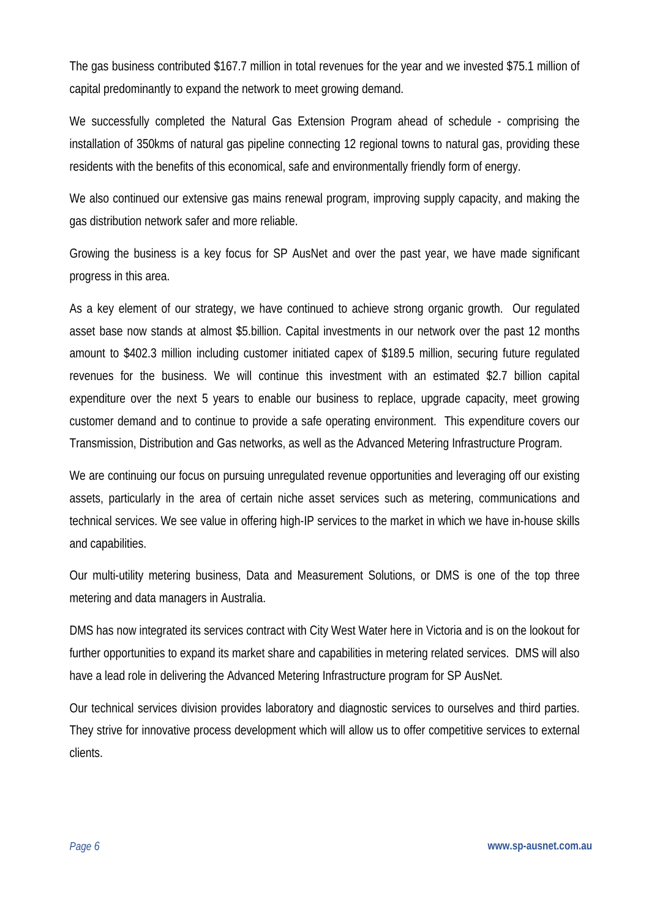The gas business contributed \$167.7 million in total revenues for the year and we invested \$75.1 million of capital predominantly to expand the network to meet growing demand.

We successfully completed the Natural Gas Extension Program ahead of schedule - comprising the installation of 350kms of natural gas pipeline connecting 12 regional towns to natural gas, providing these residents with the benefits of this economical, safe and environmentally friendly form of energy.

We also continued our extensive gas mains renewal program, improving supply capacity, and making the gas distribution network safer and more reliable.

Growing the business is a key focus for SP AusNet and over the past year, we have made significant progress in this area.

As a key element of our strategy, we have continued to achieve strong organic growth. Our regulated asset base now stands at almost \$5.billion. Capital investments in our network over the past 12 months amount to \$402.3 million including customer initiated capex of \$189.5 million, securing future regulated revenues for the business. We will continue this investment with an estimated \$2.7 billion capital expenditure over the next 5 years to enable our business to replace, upgrade capacity, meet growing customer demand and to continue to provide a safe operating environment. This expenditure covers our Transmission, Distribution and Gas networks, as well as the Advanced Metering Infrastructure Program.

We are continuing our focus on pursuing unregulated revenue opportunities and leveraging off our existing assets, particularly in the area of certain niche asset services such as metering, communications and technical services. We see value in offering high-IP services to the market in which we have in-house skills and capabilities.

Our multi-utility metering business, Data and Measurement Solutions, or DMS is one of the top three metering and data managers in Australia.

DMS has now integrated its services contract with City West Water here in Victoria and is on the lookout for further opportunities to expand its market share and capabilities in metering related services. DMS will also have a lead role in delivering the Advanced Metering Infrastructure program for SP AusNet.

Our technical services division provides laboratory and diagnostic services to ourselves and third parties. They strive for innovative process development which will allow us to offer competitive services to external clients.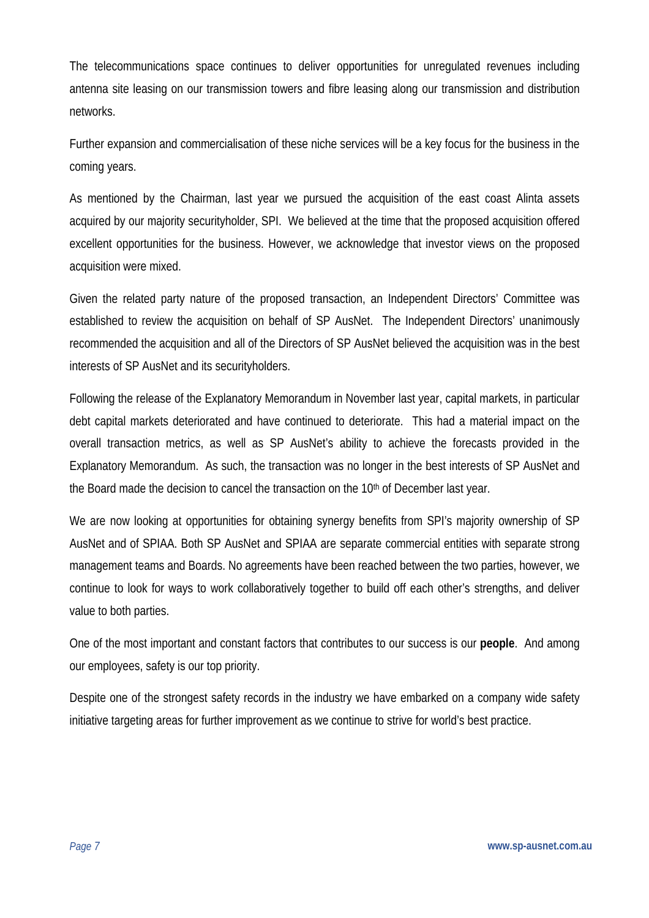The telecommunications space continues to deliver opportunities for unregulated revenues including antenna site leasing on our transmission towers and fibre leasing along our transmission and distribution networks.

Further expansion and commercialisation of these niche services will be a key focus for the business in the coming years.

As mentioned by the Chairman, last year we pursued the acquisition of the east coast Alinta assets acquired by our majority securityholder, SPI. We believed at the time that the proposed acquisition offered excellent opportunities for the business. However, we acknowledge that investor views on the proposed acquisition were mixed.

Given the related party nature of the proposed transaction, an Independent Directors' Committee was established to review the acquisition on behalf of SP AusNet. The Independent Directors' unanimously recommended the acquisition and all of the Directors of SP AusNet believed the acquisition was in the best interests of SP AusNet and its securityholders.

Following the release of the Explanatory Memorandum in November last year, capital markets, in particular debt capital markets deteriorated and have continued to deteriorate. This had a material impact on the overall transaction metrics, as well as SP AusNet's ability to achieve the forecasts provided in the Explanatory Memorandum. As such, the transaction was no longer in the best interests of SP AusNet and the Board made the decision to cancel the transaction on the 10<sup>th</sup> of December last year.

We are now looking at opportunities for obtaining synergy benefits from SPI's majority ownership of SP AusNet and of SPIAA. Both SP AusNet and SPIAA are separate commercial entities with separate strong management teams and Boards. No agreements have been reached between the two parties, however, we continue to look for ways to work collaboratively together to build off each other's strengths, and deliver value to both parties.

One of the most important and constant factors that contributes to our success is our **people**. And among our employees, safety is our top priority.

Despite one of the strongest safety records in the industry we have embarked on a company wide safety initiative targeting areas for further improvement as we continue to strive for world's best practice.